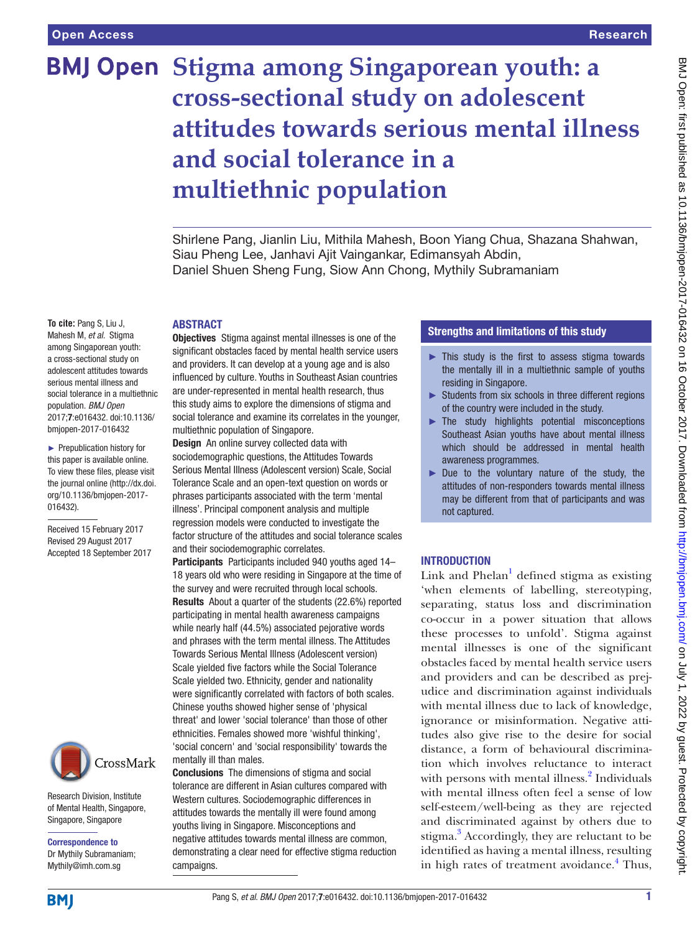# **BMJ Open Stigma among Singaporean youth: a cross-sectional study on adolescent attitudes towards serious mental illness and social tolerance in a multiethnic population**

Shirlene Pang, Jianlin Liu, Mithila Mahesh, Boon Yiang Chua, Shazana Shahwan, Siau Pheng Lee, Janhavi Ajit Vaingankar, Edimansyah Abdin, Daniel Shuen Sheng Fung, Siow Ann Chong, Mythily Subramaniam

#### **ABSTRACT**

**To cite:** Pang S, Liu J, Mahesh M, *et al*. Stigma among Singaporean youth: a cross-sectional study on adolescent attitudes towards serious mental illness and social tolerance in a multiethnic population. *BMJ Open* 2017;7:e016432. doi:10.1136/ bmjopen-2017-016432

► Prepublication history for this paper is available online. To view these files, please visit the journal online [\(http://dx.doi.](http://dx.doi.org/10.1136/bmjopen-2017-016432) [org/10.1136/bmjopen-2017-](http://dx.doi.org/10.1136/bmjopen-2017-016432) [016432\)](http://dx.doi.org/10.1136/bmjopen-2017-016432).

Received 15 February 2017 Revised 29 August 2017 Accepted 18 September 2017



Research Division, Institute of Mental Health, Singapore, Singapore, Singapore

Correspondence to Dr Mythily Subramaniam; Mythily@imh.com.sg

Objectives Stigma against mental illnesses is one of the significant obstacles faced by mental health service users and providers. It can develop at a young age and is also influenced by culture. Youths in Southeast Asian countries are under-represented in mental health research, thus this study aims to explore the dimensions of stigma and social tolerance and examine its correlates in the younger, multiethnic population of Singapore.

Design An online survey collected data with sociodemographic questions, the Attitudes Towards Serious Mental Illness (Adolescent version) Scale, Social Tolerance Scale and an open-text question on words or phrases participants associated with the term 'mental illness'. Principal component analysis and multiple regression models were conducted to investigate the factor structure of the attitudes and social tolerance scales and their sociodemographic correlates.

Participants Participants included 940 youths aged 14– 18 years old who were residing in Singapore at the time of the survey and were recruited through local schools. Results About a quarter of the students (22.6%) reported participating in mental health awareness campaigns while nearly half (44.5%) associated pejorative words and phrases with the term mental illness. The Attitudes Towards Serious Mental Illness (Adolescent version) Scale yielded five factors while the Social Tolerance Scale yielded two. Ethnicity, gender and nationality were significantly correlated with factors of both scales. Chinese youths showed higher sense of 'physical threat' and lower 'social tolerance' than those of other ethnicities. Females showed more 'wishful thinking', 'social concern' and 'social responsibility' towards the mentally ill than males.

Conclusions The dimensions of stigma and social tolerance are different in Asian cultures compared with Western cultures. Sociodemographic differences in attitudes towards the mentally ill were found among youths living in Singapore. Misconceptions and negative attitudes towards mental illness are common, demonstrating a clear need for effective stigma reduction campaigns.

## Strengths and limitations of this study

- ► This study is the first to assess stigma towards the mentally ill in a multiethnic sample of youths residing in Singapore.
- ► Students from six schools in three different regions of the country were included in the study.
- ► The study highlights potential misconceptions Southeast Asian youths have about mental illness which should be addressed in mental health awareness programmes.
- ► Due to the voluntary nature of the study, the attitudes of non-responders towards mental illness may be different from that of participants and was not captured.

## **INTRODUCTION**

Link and Phelan<sup>[1](#page-9-0)</sup> defined stigma as existing 'when elements of labelling, stereotyping, separating, status loss and discrimination co-occur in a power situation that allows these processes to unfold'. Stigma against mental illnesses is one of the significant obstacles faced by mental health service users and providers and can be described as prejudice and discrimination against individuals with mental illness due to lack of knowledge, ignorance or misinformation. Negative attitudes also give rise to the desire for social distance, a form of behavioural discrimination which involves reluctance to interact with persons with mental illness.<sup>2</sup> Individuals with mental illness often feel a sense of low self-esteem/well-being as they are rejected and discriminated against by others due to stigma.<sup>3</sup> Accordingly, they are reluctant to be identified as having a mental illness, resulting in high rates of treatment avoidance.<sup>4</sup> Thus,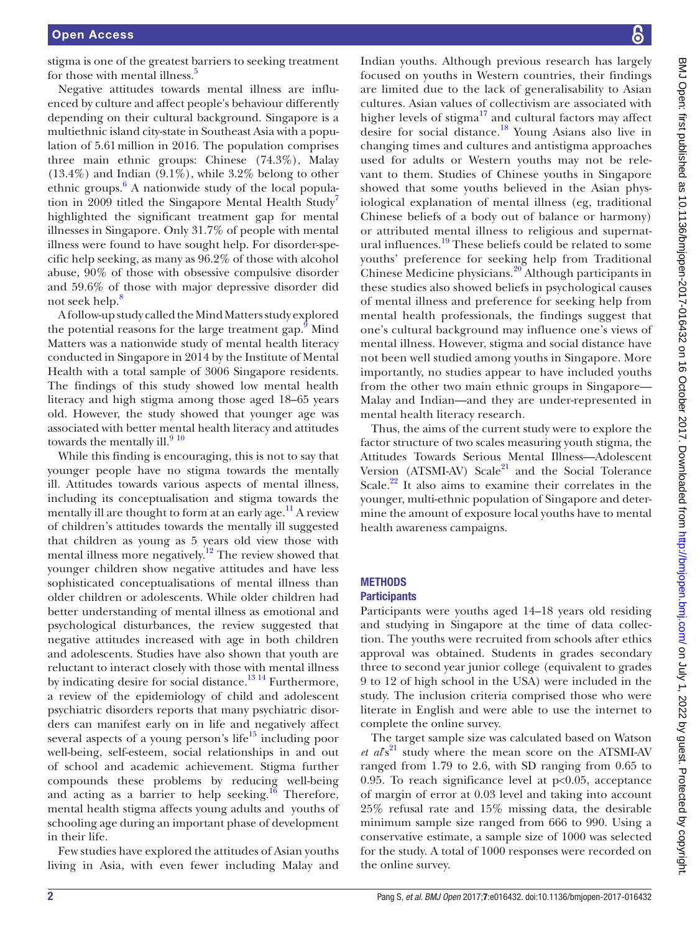stigma is one of the greatest barriers to seeking treatment for those with mental illness.<sup>5</sup>

Negative attitudes towards mental illness are influenced by culture and affect people's behaviour differently depending on their cultural background. Singapore is a multiethnic island city-state in Southeast Asia with a population of 5.61million in 2016. The population comprises three main ethnic groups: Chinese (74.3%), Malay  $(13.4\%)$  and Indian  $(9.1\%)$ , while 3.2% belong to other ethnic groups. [6](#page-9-5) A nationwide study of the local popula-tion in 2009 titled the Singapore Mental Health Study<sup>[7](#page-9-6)</sup> highlighted the significant treatment gap for mental illnesses in Singapore. Only 31.7% of people with mental illness were found to have sought help. For disorder-specific help seeking, as many as 96.2% of those with alcohol abuse, 90% of those with obsessive compulsive disorder and 59.6% of those with major depressive disorder did not seek help.<sup>[8](#page-9-7)</sup>

A follow-up study called the Mind Matters study explored the potential reasons for the large treatment gap.<sup>9</sup> Mind Matters was a nationwide study of mental health literacy conducted in Singapore in 2014 by the Institute of Mental Health with a total sample of 3006 Singapore residents. The findings of this study showed low mental health literacy and high stigma among those aged 18–65 years old. However, the study showed that younger age was associated with better mental health literacy and attitudes towards the mentally ill.  $^{\rm 9\ 10}$  $^{\rm 9\ 10}$  $^{\rm 9\ 10}$ 

While this finding is encouraging, this is not to say that younger people have no stigma towards the mentally ill. Attitudes towards various aspects of mental illness, including its conceptualisation and stigma towards the mentally ill are thought to form at an early age.<sup>11</sup> A review of children's attitudes towards the mentally ill suggested that children as young as 5 years old view those with mental illness more negatively.<sup>12</sup> The review showed that younger children show negative attitudes and have less sophisticated conceptualisations of mental illness than older children or adolescents. While older children had better understanding of mental illness as emotional and psychological disturbances, the review suggested that negative attitudes increased with age in both children and adolescents. Studies have also shown that youth are reluctant to interact closely with those with mental illness by indicating desire for social distance.<sup>[13 14](#page-9-12)</sup> Furthermore, a review of the epidemiology of child and adolescent psychiatric disorders reports that many psychiatric disorders can manifest early on in life and negatively affect several aspects of a young person's life $15$  including poor well-being, self-esteem, social relationships in and out of school and academic achievement. Stigma further compounds these problems by reducing well-being and acting as a barrier to help seeking.<sup>16</sup> Therefore, mental health stigma affects young adults and youths of schooling age during an important phase of development in their life.

Few studies have explored the attitudes of Asian youths living in Asia, with even fewer including Malay and

Indian youths. Although previous research has largely focused on youths in Western countries, their findings are limited due to the lack of generalisability to Asian cultures. Asian values of collectivism are associated with higher levels of stigma $17$  and cultural factors may affect desire for social distance.[18](#page-9-16) Young Asians also live in changing times and cultures and antistigma approaches used for adults or Western youths may not be relevant to them. Studies of Chinese youths in Singapore showed that some youths believed in the Asian physiological explanation of mental illness (eg, traditional Chinese beliefs of a body out of balance or harmony) or attributed mental illness to religious and supernatural influences.<sup>19</sup> These beliefs could be related to some youths' preference for seeking help from Traditional Chinese Medicine physicians.[20](#page-9-18) Although participants in these studies also showed beliefs in psychological causes of mental illness and preference for seeking help from mental health professionals, the findings suggest that one's cultural background may influence one's views of mental illness. However, stigma and social distance have not been well studied among youths in Singapore. More importantly, no studies appear to have included youths from the other two main ethnic groups in Singapore— Malay and Indian—and they are under-represented in mental health literacy research.

Thus, the aims of the current study were to explore the factor structure of two scales measuring youth stigma, the Attitudes Towards Serious Mental Illness—Adolescent Version (ATSMI-AV) Scale $^{21}$  $^{21}$  $^{21}$  and the Social Tolerance Scale.<sup>22</sup> It also aims to examine their correlates in the younger, multi-ethnic population of Singapore and determine the amount of exposure local youths have to mental health awareness campaigns.

## **METHODS Participants**

Participants were youths aged 14–18 years old residing and studying in Singapore at the time of data collection. The youths were recruited from schools after ethics approval was obtained. Students in grades secondary three to second year junior college (equivalent to grades 9 to 12 of high school in the USA) were included in the study. The inclusion criteria comprised those who were literate in English and were able to use the internet to complete the online survey.

The target sample size was calculated based on Watson *et al*<sup> $s<sup>21</sup>$  study where the mean score on the ATSMI-AV</sup> ranged from 1.79 to 2.6, with SD ranging from 0.65 to 0.95. To reach significance level at  $p<0.05$ , acceptance of margin of error at 0.03 level and taking into account 25% refusal rate and 15% missing data, the desirable minimum sample size ranged from 666 to 990. Using a conservative estimate, a sample size of 1000 was selected for the study. A total of 1000 responses were recorded on the online survey.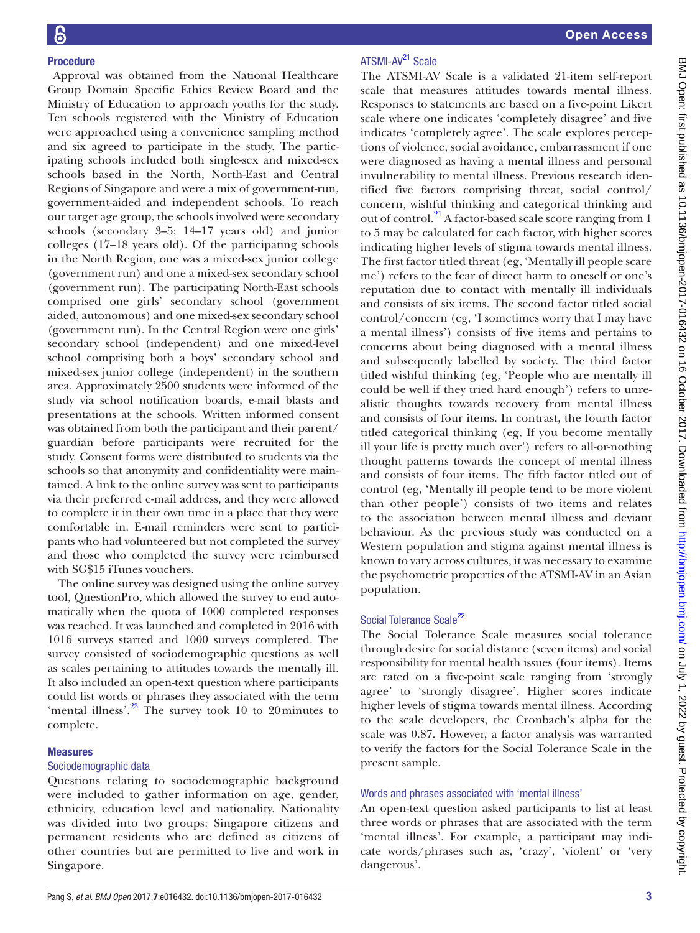## Procedure

 Approval was obtained from the National Healthcare Group Domain Specific Ethics Review Board and the Ministry of Education to approach youths for the study. Ten schools registered with the Ministry of Education were approached using a convenience sampling method and six agreed to participate in the study. The participating schools included both single-sex and mixed-sex schools based in the North, North-East and Central Regions of Singapore and were a mix of government-run, government-aided and independent schools. To reach our target age group, the schools involved were secondary schools (secondary 3–5; 14–17 years old) and junior colleges (17–18 years old). Of the participating schools in the North Region, one was a mixed-sex junior college (government run) and one a mixed-sex secondary school (government run). The participating North-East schools comprised one girls' secondary school (government aided, autonomous) and one mixed-sex secondary school (government run). In the Central Region were one girls' secondary school (independent) and one mixed-level school comprising both a boys' secondary school and mixed-sex junior college (independent) in the southern area. Approximately 2500 students were informed of the study via school notification boards, e-mail blasts and presentations at the schools. Written informed consent was obtained from both the participant and their parent/ guardian before participants were recruited for the study. Consent forms were distributed to students via the schools so that anonymity and confidentiality were maintained. A link to the online survey was sent to participants via their preferred e-mail address, and they were allowed to complete it in their own time in a place that they were comfortable in. E-mail reminders were sent to participants who had volunteered but not completed the survey and those who completed the survey were reimbursed with SG\$15 iTunes vouchers.

The online survey was designed using the online survey tool, QuestionPro, which allowed the survey to end automatically when the quota of 1000 completed responses was reached. It was launched and completed in 2016 with 1016 surveys started and 1000 surveys completed. The survey consisted of sociodemographic questions as well as scales pertaining to attitudes towards the mentally ill. It also included an open-text question where participants could list words or phrases they associated with the term 'mental illness'.<sup>23</sup> The survey took 10 to 20 minutes to complete.

#### Measures

## Sociodemographic data

Questions relating to sociodemographic background were included to gather information on age, gender, ethnicity, education level and nationality. Nationality was divided into two groups: Singapore citizens and permanent residents who are defined as citizens of other countries but are permitted to live and work in Singapore.

## ATSMI-AV<sup>[21](#page-9-19)</sup> Scale

The ATSMI-AV Scale is a validated 21-item self-report scale that measures attitudes towards mental illness. Responses to statements are based on a five-point Likert scale where one indicates 'completely disagree' and five indicates 'completely agree'. The scale explores perceptions of violence, social avoidance, embarrassment if one were diagnosed as having a mental illness and personal invulnerability to mental illness. Previous research identified five factors comprising threat, social control/ concern, wishful thinking and categorical thinking and out of control.<sup>[21](#page-9-19)</sup> A factor-based scale score ranging from 1 to 5 may be calculated for each factor, with higher scores indicating higher levels of stigma towards mental illness. The first factor titled threat (eg, 'Mentally ill people scare me') refers to the fear of direct harm to oneself or one's reputation due to contact with mentally ill individuals and consists of six items. The second factor titled social control/concern (eg, 'I sometimes worry that I may have a mental illness') consists of five items and pertains to concerns about being diagnosed with a mental illness and subsequently labelled by society. The third factor titled wishful thinking (eg, 'People who are mentally ill could be well if they tried hard enough') refers to unrealistic thoughts towards recovery from mental illness and consists of four items. In contrast, the fourth factor titled categorical thinking (eg, If you become mentally ill your life is pretty much over') refers to all-or-nothing thought patterns towards the concept of mental illness and consists of four items. The fifth factor titled out of control (eg, 'Mentally ill people tend to be more violent than other people') consists of two items and relates to the association between mental illness and deviant behaviour. As the previous study was conducted on a Western population and stigma against mental illness is known to vary across cultures, it was necessary to examine the psychometric properties of the ATSMI-AV in an Asian population.

#### Social Tolerance Scale<sup>22</sup>

The Social Tolerance Scale measures social tolerance through desire for social distance (seven items) and social responsibility for mental health issues (four items). Items are rated on a five-point scale ranging from 'strongly agree' to 'strongly disagree'. Higher scores indicate higher levels of stigma towards mental illness. According to the scale developers, the Cronbach's alpha for the scale was 0.87. However, a factor analysis was warranted to verify the factors for the Social Tolerance Scale in the present sample.

#### Words and phrases associated with 'mental illness'

An open-text question asked participants to list at least three words or phrases that are associated with the term 'mental illness'. For example, a participant may indicate words/phrases such as, 'crazy', 'violent' or 'very dangerous'.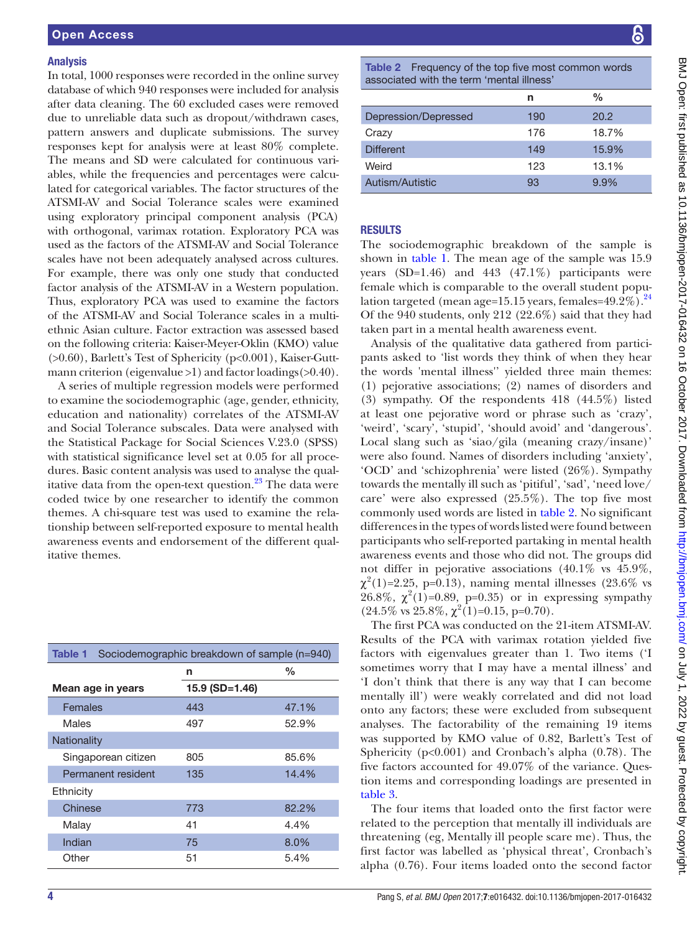#### Analysis

In total, 1000 responses were recorded in the online survey database of which 940 responses were included for analysis after data cleaning. The 60 excluded cases were removed due to unreliable data such as dropout/withdrawn cases, pattern answers and duplicate submissions. The survey responses kept for analysis were at least 80% complete. The means and SD were calculated for continuous variables, while the frequencies and percentages were calculated for categorical variables. The factor structures of the ATSMI-AV and Social Tolerance scales were examined using exploratory principal component analysis (PCA) with orthogonal, varimax rotation. Exploratory PCA was used as the factors of the ATSMI-AV and Social Tolerance scales have not been adequately analysed across cultures. For example, there was only one study that conducted factor analysis of the ATSMI-AV in a Western population. Thus, exploratory PCA was used to examine the factors of the ATSMI-AV and Social Tolerance scales in a multiethnic Asian culture. Factor extraction was assessed based on the following criteria: Kaiser-Meyer-Oklin (KMO) value (>0.60), Barlett's Test of Sphericity (p<0.001), Kaiser-Guttmann criterion (eigenvalue >1) and factor loadings(>0.40).

A series of multiple regression models were performed to examine the sociodemographic (age, gender, ethnicity, education and nationality) correlates of the ATSMI-AV and Social Tolerance subscales. Data were analysed with the Statistical Package for Social Sciences V.23.0 (SPSS) with statistical significance level set at 0.05 for all procedures. Basic content analysis was used to analyse the qualitative data from the open-text question. $^{23}$  The data were coded twice by one researcher to identify the common themes. A chi-square test was used to examine the relationship between self-reported exposure to mental health awareness events and endorsement of the different qualitative themes.

<span id="page-3-0"></span>

| Table 1             |                | Sociodemographic breakdown of sample (n=940) |
|---------------------|----------------|----------------------------------------------|
|                     | n              | %                                            |
| Mean age in years   | 15.9 (SD=1.46) |                                              |
| Females             | 443            | 47.1%                                        |
| Males               | 497            | 52.9%                                        |
| Nationality         |                |                                              |
| Singaporean citizen | 805            | 85.6%                                        |
| Permanent resident  | 135            | 14.4%                                        |
| Ethnicity           |                |                                              |
| Chinese             | 773            | 82.2%                                        |
| Malay               | 41             | 4.4%                                         |
| Indian              | 75             | $8.0\%$                                      |
| Other               | 51             | 5.4%                                         |

<span id="page-3-1"></span>Table 2 Frequency of the top five most common words associated with the term 'mental illness'

|                      | n   | $\frac{0}{0}$ |
|----------------------|-----|---------------|
| Depression/Depressed | 190 | 20.2          |
| Crazy                | 176 | 18.7%         |
| <b>Different</b>     | 149 | 15.9%         |
| Weird                | 123 | 13.1%         |
| Autism/Autistic      | 93  | 9.9%          |
|                      |     |               |

## **RESULTS**

The sociodemographic breakdown of the sample is shown in [table](#page-3-0) 1. The mean age of the sample was 15.9 years  $(SD=1.46)$  and  $443$   $(47.1\%)$  participants were female which is comparable to the overall student population targeted (mean age=15.15 years, females=49.2%). $^{24}$  $^{24}$  $^{24}$ Of the 940 students, only 212 (22.6%) said that they had taken part in a mental health awareness event.

Analysis of the qualitative data gathered from participants asked to 'list words they think of when they hear the words 'mental illness'' yielded three main themes: (1) pejorative associations; (2) names of disorders and (3) sympathy. Of the respondents 418 (44.5%) listed at least one pejorative word or phrase such as 'crazy', 'weird', 'scary', 'stupid', 'should avoid' and 'dangerous'. Local slang such as 'siao/gila (meaning crazy/insane)' were also found. Names of disorders including 'anxiety', 'OCD' and 'schizophrenia' were listed (26%). Sympathy towards the mentally ill such as 'pitiful', 'sad', 'need love/ care' were also expressed (25.5%). The top five most commonly used words are listed in [table](#page-3-1) 2. No significant differences in the types of words listed were found between participants who self-reported partaking in mental health awareness events and those who did not. The groups did not differ in pejorative associations (40.1% vs 45.9%,  $\chi^2(1)=2.25$ , p=0.13), naming mental illnesses (23.6% vs 26.8%,  $\chi^2(1) = 0.89$ , p=0.35) or in expressing sympathy  $(24.5\% \text{ vs } 25.8\%, \chi^2(1)=0.15, \text{ p=0.70}).$ 

The first PCA was conducted on the 21-item ATSMI-AV. Results of the PCA with varimax rotation yielded five factors with eigenvalues greater than 1. Two items ('I sometimes worry that I may have a mental illness' and 'I don't think that there is any way that I can become mentally ill') were weakly correlated and did not load onto any factors; these were excluded from subsequent analyses. The factorability of the remaining 19 items was supported by KMO value of 0.82, Barlett's Test of Sphericity  $(p<0.001)$  and Cronbach's alpha  $(0.78)$ . The five factors accounted for 49.07% of the variance. Question items and corresponding loadings are presented in [table](#page-4-0) 3.

The four items that loaded onto the first factor were related to the perception that mentally ill individuals are threatening (eg, Mentally ill people scare me). Thus, the first factor was labelled as 'physical threat', Cronbach's alpha (0.76). Four items loaded onto the second factor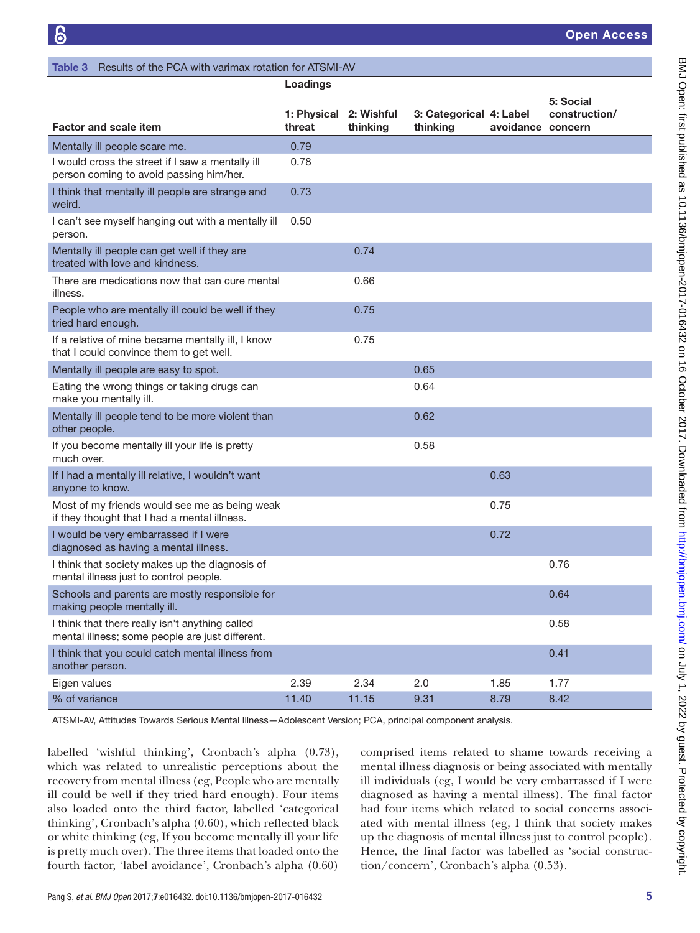Open Access

<span id="page-4-0"></span>

| Results of the PCA with varimax rotation for ATSMI-AV<br>Table 3                                   |                       |                        |                                     |                   |                            |
|----------------------------------------------------------------------------------------------------|-----------------------|------------------------|-------------------------------------|-------------------|----------------------------|
|                                                                                                    | Loadings              |                        |                                     |                   |                            |
| <b>Factor and scale item</b>                                                                       | 1: Physical<br>threat | 2: Wishful<br>thinking | 3: Categorical 4: Label<br>thinking | avoidance concern | 5: Social<br>construction/ |
| Mentally ill people scare me.                                                                      | 0.79                  |                        |                                     |                   |                            |
| I would cross the street if I saw a mentally ill<br>person coming to avoid passing him/her.        | 0.78                  |                        |                                     |                   |                            |
| I think that mentally ill people are strange and<br>weird.                                         | 0.73                  |                        |                                     |                   |                            |
| I can't see myself hanging out with a mentally ill<br>person.                                      | 0.50                  |                        |                                     |                   |                            |
| Mentally ill people can get well if they are<br>treated with love and kindness.                    |                       | 0.74                   |                                     |                   |                            |
| There are medications now that can cure mental<br>illness.                                         |                       | 0.66                   |                                     |                   |                            |
| People who are mentally ill could be well if they<br>tried hard enough.                            |                       | 0.75                   |                                     |                   |                            |
| If a relative of mine became mentally ill, I know<br>that I could convince them to get well.       |                       | 0.75                   |                                     |                   |                            |
| Mentally ill people are easy to spot.                                                              |                       |                        | 0.65                                |                   |                            |
| Eating the wrong things or taking drugs can<br>make you mentally ill.                              |                       |                        | 0.64                                |                   |                            |
| Mentally ill people tend to be more violent than<br>other people.                                  |                       |                        | 0.62                                |                   |                            |
| If you become mentally ill your life is pretty<br>much over.                                       |                       |                        | 0.58                                |                   |                            |
| If I had a mentally ill relative, I wouldn't want<br>anyone to know.                               |                       |                        |                                     | 0.63              |                            |
| Most of my friends would see me as being weak<br>if they thought that I had a mental illness.      |                       |                        |                                     | 0.75              |                            |
| I would be very embarrassed if I were<br>diagnosed as having a mental illness.                     |                       |                        |                                     | 0.72              |                            |
| I think that society makes up the diagnosis of<br>mental illness just to control people.           |                       |                        |                                     |                   | 0.76                       |
| Schools and parents are mostly responsible for<br>making people mentally ill.                      |                       |                        |                                     |                   | 0.64                       |
| I think that there really isn't anything called<br>mental illness; some people are just different. |                       |                        |                                     |                   | 0.58                       |
| I think that you could catch mental illness from<br>another person.                                |                       |                        |                                     |                   | 0.41                       |
| Eigen values                                                                                       | 2.39                  | 2.34                   | 2.0                                 | 1.85              | 1.77                       |
| % of variance                                                                                      | 11.40                 | 11.15                  | 9.31                                | 8.79              | 8.42                       |

ATSMI-AV, Attitudes Towards Serious Mental Illness—Adolescent Version; PCA, principal component analysis.

labelled 'wishful thinking', Cronbach's alpha (0.73), which was related to unrealistic perceptions about the recovery from mental illness (eg, People who are mentally ill could be well if they tried hard enough). Four items also loaded onto the third factor, labelled 'categorical thinking', Cronbach's alpha (0.60), which reflected black or white thinking (eg, If you become mentally ill your life is pretty much over). The three items that loaded onto the fourth factor, 'label avoidance', Cronbach's alpha (0.60)

comprised items related to shame towards receiving a mental illness diagnosis or being associated with mentally ill individuals (eg, I would be very embarrassed if I were diagnosed as having a mental illness). The final factor had four items which related to social concerns associated with mental illness (eg, I think that society makes up the diagnosis of mental illness just to control people). Hence, the final factor was labelled as 'social construction/concern', Cronbach's alpha (0.53).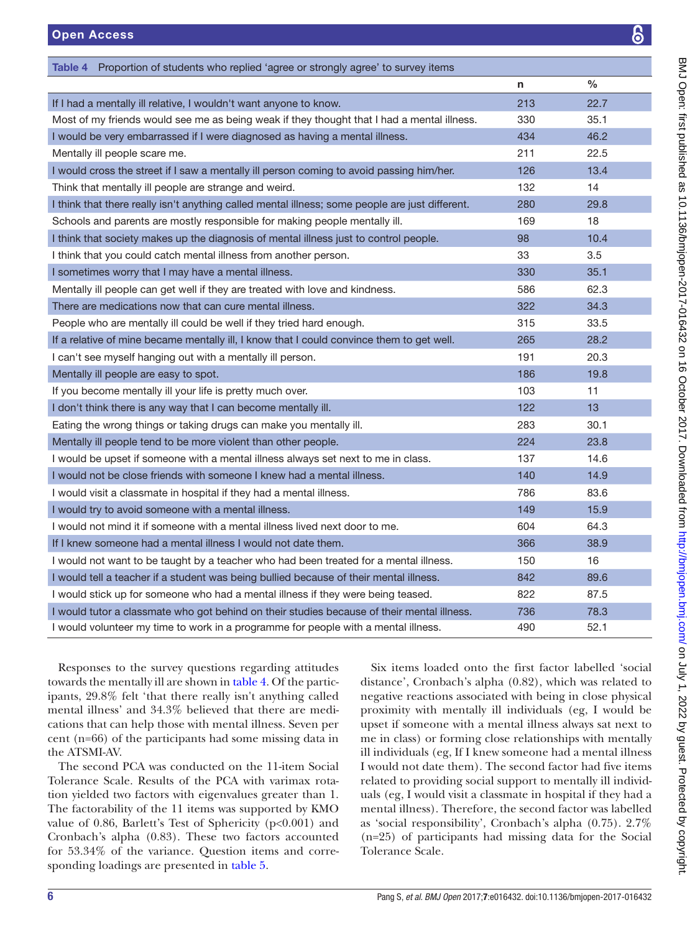<span id="page-5-0"></span>

| Table 4 Proportion of students who replied 'agree or strongly agree' to survey items            |     |      |
|-------------------------------------------------------------------------------------------------|-----|------|
|                                                                                                 | n   | $\%$ |
| If I had a mentally ill relative, I wouldn't want anyone to know.                               | 213 | 22.7 |
| Most of my friends would see me as being weak if they thought that I had a mental illness.      | 330 | 35.1 |
| I would be very embarrassed if I were diagnosed as having a mental illness.                     | 434 | 46.2 |
| Mentally ill people scare me.                                                                   | 211 | 22.5 |
| I would cross the street if I saw a mentally ill person coming to avoid passing him/her.        | 126 | 13.4 |
| Think that mentally ill people are strange and weird.                                           | 132 | 14   |
| I think that there really isn't anything called mental illness; some people are just different. | 280 | 29.8 |
| Schools and parents are mostly responsible for making people mentally ill.                      | 169 | 18   |
| I think that society makes up the diagnosis of mental illness just to control people.           | 98  | 10.4 |
| I think that you could catch mental illness from another person.                                | 33  | 3.5  |
| I sometimes worry that I may have a mental illness.                                             | 330 | 35.1 |
| Mentally ill people can get well if they are treated with love and kindness.                    | 586 | 62.3 |
| There are medications now that can cure mental illness.                                         | 322 | 34.3 |
| People who are mentally ill could be well if they tried hard enough.                            | 315 | 33.5 |
| If a relative of mine became mentally ill, I know that I could convince them to get well.       | 265 | 28.2 |
| I can't see myself hanging out with a mentally ill person.                                      | 191 | 20.3 |
| Mentally ill people are easy to spot.                                                           | 186 | 19.8 |
| If you become mentally ill your life is pretty much over.                                       | 103 | 11   |
| I don't think there is any way that I can become mentally ill.                                  | 122 | 13   |
| Eating the wrong things or taking drugs can make you mentally ill.                              | 283 | 30.1 |
| Mentally ill people tend to be more violent than other people.                                  | 224 | 23.8 |
| I would be upset if someone with a mental illness always set next to me in class.               | 137 | 14.6 |
| I would not be close friends with someone I knew had a mental illness.                          | 140 | 14.9 |
| I would visit a classmate in hospital if they had a mental illness.                             | 786 | 83.6 |
| I would try to avoid someone with a mental illness.                                             | 149 | 15.9 |
| I would not mind it if someone with a mental illness lived next door to me.                     | 604 | 64.3 |
| If I knew someone had a mental illness I would not date them.                                   | 366 | 38.9 |
| I would not want to be taught by a teacher who had been treated for a mental illness.           | 150 | 16   |
| I would tell a teacher if a student was being bullied because of their mental illness.          | 842 | 89.6 |
| I would stick up for someone who had a mental illness if they were being teased.                | 822 | 87.5 |
| I would tutor a classmate who got behind on their studies because of their mental illness.      | 736 | 78.3 |
| I would volunteer my time to work in a programme for people with a mental illness.              | 490 | 52.1 |

Responses to the survey questions regarding attitudes towards the mentally ill are shown in [table](#page-5-0) 4. Of the participants, 29.8% felt 'that there really isn't anything called mental illness' and 34.3% believed that there are medications that can help those with mental illness. Seven per cent (n=66) of the participants had some missing data in the ATSMI-AV.

The second PCA was conducted on the 11-item Social Tolerance Scale. Results of the PCA with varimax rotation yielded two factors with eigenvalues greater than 1. The factorability of the 11 items was supported by KMO value of 0.86, Barlett's Test of Sphericity (p<0.001) and Cronbach's alpha (0.83). These two factors accounted for 53.34% of the variance. Question items and corresponding loadings are presented in [table](#page-6-0) 5.

Six items loaded onto the first factor labelled 'social distance', Cronbach's alpha (0.82), which was related to negative reactions associated with being in close physical proximity with mentally ill individuals (eg, I would be upset if someone with a mental illness always sat next to me in class) or forming close relationships with mentally ill individuals (eg, If I knew someone had a mental illness I would not date them). The second factor had five items related to providing social support to mentally ill individuals (eg, I would visit a classmate in hospital if they had a mental illness). Therefore, the second factor was labelled as 'social responsibility', Cronbach's alpha (0.75). 2.7% (n=25) of participants had missing data for the Social Tolerance Scale.

8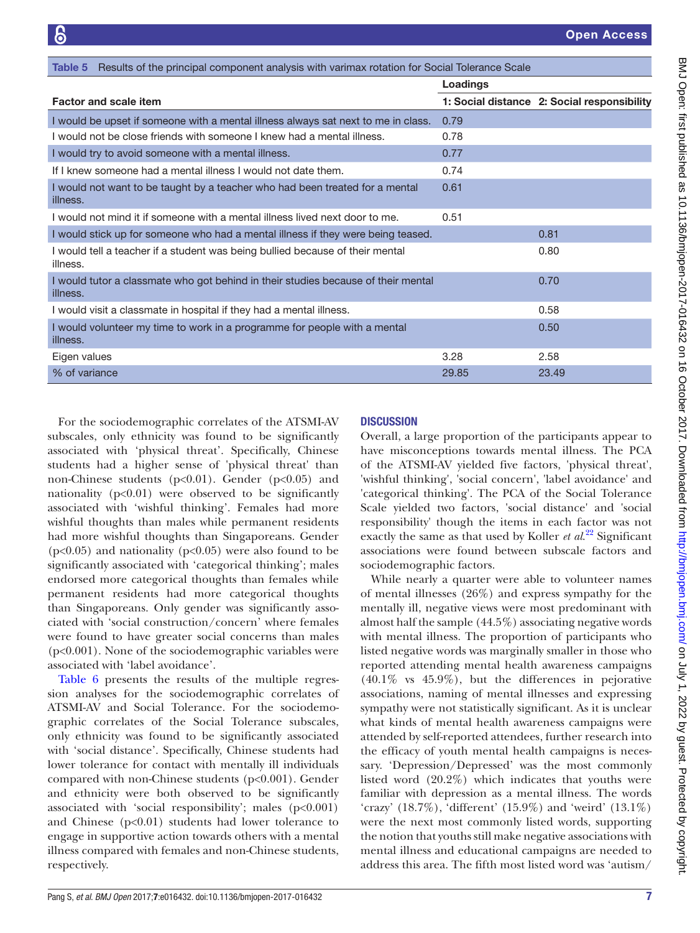<span id="page-6-0"></span>

| <b>Table 5</b> Results of the principal component analysis with varimax rotation for Social Tolerance Scale |          |                                             |
|-------------------------------------------------------------------------------------------------------------|----------|---------------------------------------------|
|                                                                                                             | Loadings |                                             |
| <b>Factor and scale item</b>                                                                                |          | 1: Social distance 2: Social responsibility |
| I would be upset if someone with a mental illness always sat next to me in class.                           | 0.79     |                                             |
| I would not be close friends with someone I knew had a mental illness.                                      | 0.78     |                                             |
| I would try to avoid someone with a mental illness.                                                         | 0.77     |                                             |
| If I knew someone had a mental illness I would not date them.                                               | 0.74     |                                             |
| I would not want to be taught by a teacher who had been treated for a mental<br>illness.                    | 0.61     |                                             |
| I would not mind it if someone with a mental illness lived next door to me.                                 | 0.51     |                                             |
| I would stick up for someone who had a mental illness if they were being teased.                            |          | 0.81                                        |
| I would tell a teacher if a student was being bullied because of their mental<br>illness.                   |          | 0.80                                        |
| I would tutor a classmate who got behind in their studies because of their mental<br>illness.               |          | 0.70                                        |
| I would visit a classmate in hospital if they had a mental illness.                                         |          | 0.58                                        |
| I would volunteer my time to work in a programme for people with a mental<br>illness.                       |          | 0.50                                        |
| Eigen values                                                                                                | 3.28     | 2.58                                        |
| % of variance                                                                                               | 29.85    | 23.49                                       |

For the sociodemographic correlates of the ATSMI-AV subscales, only ethnicity was found to be significantly associated with 'physical threat'. Specifically, Chinese students had a higher sense of 'physical threat' than non-Chinese students (p<0.01). Gender (p<0.05) and nationality  $(p<0.01)$  were observed to be significantly associated with 'wishful thinking'. Females had more wishful thoughts than males while permanent residents had more wishful thoughts than Singaporeans. Gender  $(p<0.05)$  and nationality  $(p<0.05)$  were also found to be significantly associated with 'categorical thinking'; males endorsed more categorical thoughts than females while permanent residents had more categorical thoughts than Singaporeans. Only gender was significantly associated with 'social construction/concern' where females were found to have greater social concerns than males (p<0.001). None of the sociodemographic variables were associated with 'label avoidance'.

[Table](#page-7-0) 6 presents the results of the multiple regression analyses for the sociodemographic correlates of ATSMI-AV and Social Tolerance. For the sociodemographic correlates of the Social Tolerance subscales, only ethnicity was found to be significantly associated with 'social distance'. Specifically, Chinese students had lower tolerance for contact with mentally ill individuals compared with non-Chinese students (p<0.001). Gender and ethnicity were both observed to be significantly associated with 'social responsibility'; males  $(p<0.001)$ and Chinese  $(p<0.01)$  students had lower tolerance to engage in supportive action towards others with a mental illness compared with females and non-Chinese students, respectively.

## **DISCUSSION**

Overall, a large proportion of the participants appear to have misconceptions towards mental illness. The PCA of the ATSMI-AV yielded five factors, 'physical threat', 'wishful thinking', 'social concern', 'label avoidance' and 'categorical thinking'. The PCA of the Social Tolerance Scale yielded two factors, 'social distance' and 'social responsibility' though the items in each factor was not exactly the same as that used by Koller *et al*. [22](#page-9-20) Significant associations were found between subscale factors and sociodemographic factors.

While nearly a quarter were able to volunteer names of mental illnesses (26%) and express sympathy for the mentally ill, negative views were most predominant with almost half the sample (44.5%) associating negative words with mental illness. The proportion of participants who listed negative words was marginally smaller in those who reported attending mental health awareness campaigns (40.1% vs 45.9%), but the differences in pejorative associations, naming of mental illnesses and expressing sympathy were not statistically significant. As it is unclear what kinds of mental health awareness campaigns were attended by self-reported attendees, further research into the efficacy of youth mental health campaigns is necessary. 'Depression/Depressed' was the most commonly listed word (20.2%) which indicates that youths were familiar with depression as a mental illness. The words 'crazy' (18.7%), 'different' (15.9%) and 'weird' (13.1%) were the next most commonly listed words, supporting the notion that youths still make negative associations with mental illness and educational campaigns are needed to address this area. The fifth most listed word was 'autism/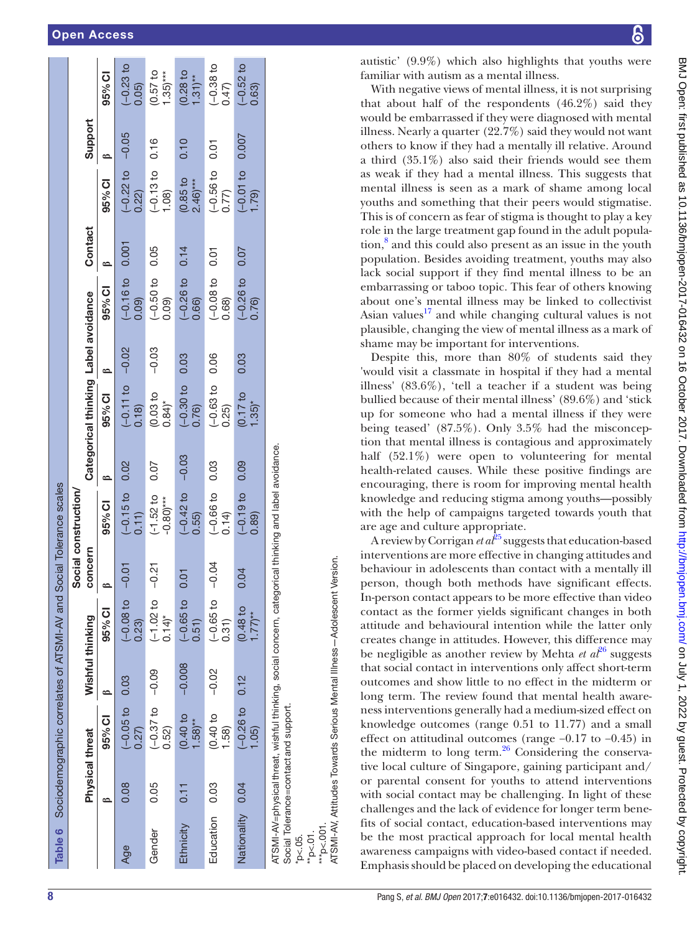## Open Access

|                  |                        | Table 6 Sociodemographic correlates of ATSMI-AV and Social Tolerance scales                       |                  |                                                   |         |                                       |         |                                      |         |                      |         |                                         |         |                                |
|------------------|------------------------|---------------------------------------------------------------------------------------------------|------------------|---------------------------------------------------|---------|---------------------------------------|---------|--------------------------------------|---------|----------------------|---------|-----------------------------------------|---------|--------------------------------|
|                  |                        |                                                                                                   |                  |                                                   |         | Social construction/                  |         |                                      |         |                      |         |                                         |         |                                |
|                  | <b>Physical threat</b> |                                                                                                   | Wishful thinking |                                                   | concern |                                       |         | Categorical thinking Label avoidance |         |                      | Contact |                                         | Support |                                |
|                  |                        | 95% CI                                                                                            |                  | 95% CI                                            |         | 95% CI                                | ≏       | 95% CI                               | ≏       | 95% CI               |         | 95% CI                                  |         | 95% CI                         |
| Age              | 0.08                   | $(-0.05 t0 0.03$<br>0.27                                                                          |                  | $(-0.08 \text{ to } -0.01$<br>0.23                |         | $(-0.15)$ to $0.11)$                  | 0.02    | $(-0.11 to$<br>0.18                  | $-0.02$ | $(-0.16t)$<br>0.09)  | 0.001   | $-0.22$ to $-0.05$<br>0.22)             |         | $-0.23$ to<br>0.05             |
| Gender           | 0.05                   | $(-0.37 to -0.09)$<br>0.52)                                                                       |                  | $(-1.02 \text{ to } -0.21$<br>$0.14$ <sup>*</sup> |         | $(-1.52 to$<br>$-0.80$ <sup>***</sup> | 0.07    | (0.03 to<br>$0.84$ <sup>*</sup>      | $-0.03$ | $(-0.50 to$<br>(60.0 | 0.05    | $(-0.13 to$<br>(1.08)                   | 0.16    | (0.57)<br>$1.35)***$           |
| Ethnicity        | 0.11                   | $0.40$ to<br>$1.58$ <sup>**</sup>                                                                 | $-0.008$         | $(-0.65 t0 0.01$<br>0.51)                         |         | $(-0.42)$ to<br>0.55)                 | $-0.03$ | $(-0.30)$ to<br>0.76)                | 0.03    | $(-0.26)$<br>0.66)   | 0.14    | $(0.85)$ to<br>$2.46$ <sup>***</sup>    | 0.10    | (0.28)<br>$1.31$ <sup>**</sup> |
| Education 0.03   |                        | (0.40)<br>1.58                                                                                    | $-0.02$          | $(-0.65 \text{ to } -0.04$<br>0.31)               |         | $(-0.66 to$<br>0.14                   | 0.03    | $(-0.63)$<br>0.25)                   | 0.06    | $(-0.08 t)$<br>0.68) | 0.01    | $\frac{(10.56 \text{ to } 0.77)}{0.77}$ | 0.01    | $(-0.38)$ to<br>0.47           |
| Nationality 0.04 |                        | $-0.26$ to<br>(1.05)                                                                              | 0.12             | $(0.48)$ to<br>$1.77$ <sup>**</sup>               | 0.04    | $(-0.19)$ to<br>0.89                  | 0.09    | (0.17 to<br>$.35$ <sup>*</sup>       | 0.03    | $(-0.26)$<br>0.76    | 0.07    | $-0.01$ to<br>(62)                      | 0.007   | $(-0.52)$ to<br>0.63           |
|                  |                        | ATSMI-AV=physical threat wishful thinking social concern categorical thinking and label avoidance |                  |                                                   |         |                                       |         |                                      |         |                      |         |                                         |         |                                |

ATSMI-AV=physicalthreat, wishful thinking, social concern, categorical thinking and label avoidance. Ē Social Tolerance=contactand support eat, wishiul  $AV = DINS$  cal tri

Social Tolerance=contactand support. \*p<.05.  $*_{p<.01}$ .

**ATSMI-AV. Attitudes Towards Serious Mental Illness-Adolescent Version.** ATSMI-AV, Attitudes Towards Serious Mental Illness—Adolescent Version. \*\*\*p<.001.

autistic' (9.9%) which also highlights that youths were familiar with autism as a mental illness.

With negative views of mental illness, it is not surprising that about half of the respondents (46.2%) said they would be embarrassed if they were diagnosed with mental illness. Nearly a quarter (22.7%) said they would not want others to know if they had a mentally ill relative. Around a third (35.1%) also said their friends would see them as weak if they had a mental illness. This suggests that mental illness is seen as a mark of shame among local youths and something that their peers would stigmatise. This is of concern as fear of stigma is thought to play a key role in the large treatment gap found in the adult population,<sup>8</sup> and this could also present as an issue in the youth population. Besides avoiding treatment, youths may also lack social support if they find mental illness to be an embarrassing or taboo topic. This fear of others knowing about one's mental illness may be linked to collectivist Asian values $17$  and while changing cultural values is not plausible, changing the view of mental illness as a mark of shame may be important for interventions.

Despite this, more than 80% of students said they 'would visit a classmate in hospital if they had a mental illness' (83.6%), 'tell a teacher if a student was being bullied because of their mental illness' (89.6%) and 'stick up for someone who had a mental illness if they were being teased' (87.5%). Only 3.5% had the misconception that mental illness is contagious and approximately half (52.1%) were open to volunteering for mental health-related causes. While these positive findings are encouraging, there is room for improving mental health knowledge and reducing stigma among youths—possibly with the help of campaigns targeted towards youth that are age and culture appropriate.

A review by Corrigan *et al*<sup>[25](#page-9-23)</sup> suggests that education-based interventions are more effective in changing attitudes and behaviour in adolescents than contact with a mentally ill person, though both methods have significant effects. In-person contact appears to be more effective than video contact as the former yields significant changes in both attitude and behavioural intention while the latter only creates change in attitudes. However, this difference may be negligible as another review by Mehta *et al*<sup>[26](#page-9-24)</sup> suggests that social contact in interventions only affect short-term outcomes and show little to no effect in the midterm or long term. The review found that mental health awareness interventions generally had a medium-sized effect on knowledge outcomes (range 0.51 to 11.77) and a small effect on attitudinal outcomes (range −0.17 to −0.45) in the midterm to long term. $26$  Considering the conservative local culture of Singapore, gaining participant and/ or parental consent for youths to attend interventions with social contact may be challenging. In light of these challenges and the lack of evidence for longer term benefits of social contact, education-based interventions may be the most practical approach for local mental health awareness campaigns with video-based contact if needed. Emphasis should be placed on developing the educational

<span id="page-7-0"></span>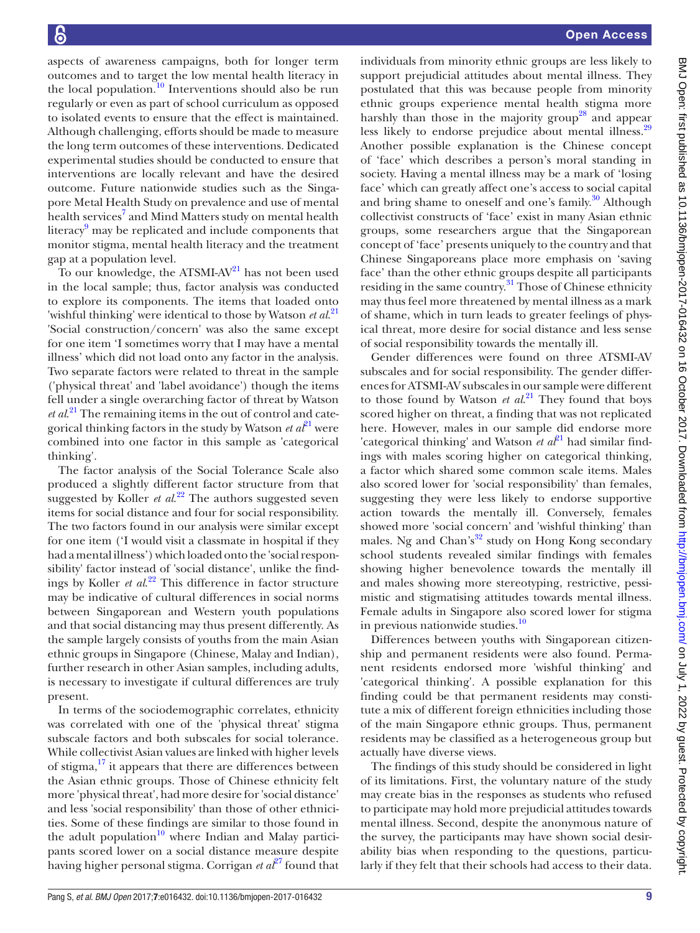aspects of awareness campaigns, both for longer term outcomes and to target the low mental health literacy in the local population.<sup>10</sup> Interventions should also be run regularly or even as part of school curriculum as opposed to isolated events to ensure that the effect is maintained. Although challenging, efforts should be made to measure the long term outcomes of these interventions. Dedicated experimental studies should be conducted to ensure that interventions are locally relevant and have the desired outcome. Future nationwide studies such as the Singapore Metal Health Study on prevalence and use of mental health services<sup>[7](#page-9-6)</sup> and Mind Matters study on mental health literacy<sup>[9](#page-9-8)</sup> may be replicated and include components that monitor stigma, mental health literacy and the treatment gap at a population level.

To our knowledge, the ATSMI- $AV<sup>21</sup>$  has not been used in the local sample; thus, factor analysis was conducted to explore its components. The items that loaded onto 'wishful thinking' were identical to those by Watson *et al*. [21](#page-9-19) 'Social construction/concern' was also the same except for one item 'I sometimes worry that I may have a mental illness' which did not load onto any factor in the analysis. Two separate factors were related to threat in the sample ('physical threat' and 'label avoidance') though the items fell under a single overarching factor of threat by Watson *et al*. [21](#page-9-19) The remaining items in the out of control and categorical thinking factors in the study by Watson  $et\ a^{\beta}$ <sup>1</sup> were combined into one factor in this sample as 'categorical thinking'.

The factor analysis of the Social Tolerance Scale also produced a slightly different factor structure from that suggested by Koller *et al.*<sup>[22](#page-9-20)</sup> The authors suggested seven items for social distance and four for social responsibility. The two factors found in our analysis were similar except for one item ('I would visit a classmate in hospital if they had a mental illness') which loaded onto the 'social responsibility' factor instead of 'social distance', unlike the findings by Koller *et al*. [22](#page-9-20) This difference in factor structure may be indicative of cultural differences in social norms between Singaporean and Western youth populations and that social distancing may thus present differently. As the sample largely consists of youths from the main Asian ethnic groups in Singapore (Chinese, Malay and Indian), further research in other Asian samples, including adults, is necessary to investigate if cultural differences are truly present.

In terms of the sociodemographic correlates, ethnicity was correlated with one of the 'physical threat' stigma subscale factors and both subscales for social tolerance. While collectivist Asian values are linked with higher levels of stigma,<sup>17</sup> it appears that there are differences between the Asian ethnic groups. Those of Chinese ethnicity felt more 'physical threat', had more desire for 'social distance' and less 'social responsibility' than those of other ethnicities. Some of these findings are similar to those found in the adult population $10$  where Indian and Malay participants scored lower on a social distance measure despite having higher personal stigma. Corrigan *et al*<sup>[27](#page-9-25)</sup> found that

individuals from minority ethnic groups are less likely to support prejudicial attitudes about mental illness. They postulated that this was because people from minority ethnic groups experience mental health stigma more harshly than those in the majority group<sup>[28](#page-9-26)</sup> and appear less likely to endorse prejudice about mental illness.<sup>[29](#page-9-27)</sup> Another possible explanation is the Chinese concept of 'face' which describes a person's moral standing in society. Having a mental illness may be a mark of 'losing face' which can greatly affect one's access to social capital and bring shame to oneself and one's family.<sup>30</sup> Although collectivist constructs of 'face' exist in many Asian ethnic groups, some researchers argue that the Singaporean concept of 'face' presents uniquely to the country and that Chinese Singaporeans place more emphasis on 'saving face' than the other ethnic groups despite all participants residing in the same country.<sup>31</sup> Those of Chinese ethnicity may thus feel more threatened by mental illness as a mark of shame, which in turn leads to greater feelings of physical threat, more desire for social distance and less sense of social responsibility towards the mentally ill.

Gender differences were found on three ATSMI-AV subscales and for social responsibility. The gender differences for ATSMI-AV subscales in our sample were different to those found by Watson *et al*. [21](#page-9-19) They found that boys scored higher on threat, a finding that was not replicated here. However, males in our sample did endorse more 'categorical thinking' and Watson  $et \ a^{\beta}$ <sup>1</sup> had similar findings with males scoring higher on categorical thinking, a factor which shared some common scale items. Males also scored lower for 'social responsibility' than females, suggesting they were less likely to endorse supportive action towards the mentally ill. Conversely, females showed more 'social concern' and 'wishful thinking' than males. Ng and Chan's $32$  study on Hong Kong secondary school students revealed similar findings with females showing higher benevolence towards the mentally ill and males showing more stereotyping, restrictive, pessimistic and stigmatising attitudes towards mental illness. Female adults in Singapore also scored lower for stigma in previous nationwide studies.<sup>10</sup>

Differences between youths with Singaporean citizenship and permanent residents were also found. Permanent residents endorsed more 'wishful thinking' and 'categorical thinking'. A possible explanation for this finding could be that permanent residents may constitute a mix of different foreign ethnicities including those of the main Singapore ethnic groups. Thus, permanent residents may be classified as a heterogeneous group but actually have diverse views.

The findings of this study should be considered in light of its limitations. First, the voluntary nature of the study may create bias in the responses as students who refused to participate may hold more prejudicial attitudes towards mental illness. Second, despite the anonymous nature of the survey, the participants may have shown social desirability bias when responding to the questions, particularly if they felt that their schools had access to their data.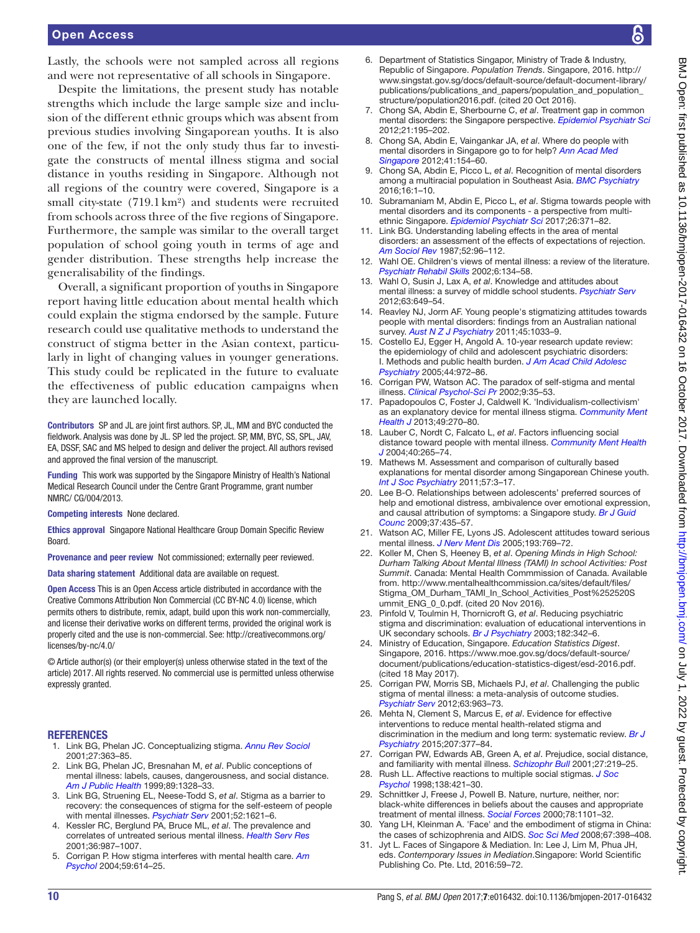Lastly, the schools were not sampled across all regions and were not representative of all schools in Singapore.

Despite the limitations, the present study has notable strengths which include the large sample size and inclusion of the different ethnic groups which was absent from previous studies involving Singaporean youths. It is also one of the few, if not the only study thus far to investigate the constructs of mental illness stigma and social distance in youths residing in Singapore. Although not all regions of the country were covered, Singapore is a small city-state (719.1km²) and students were recruited from schools across three of the five regions of Singapore. Furthermore, the sample was similar to the overall target population of school going youth in terms of age and gender distribution. These strengths help increase the generalisability of the findings.

Overall, a significant proportion of youths in Singapore report having little education about mental health which could explain the stigma endorsed by the sample. Future research could use qualitative methods to understand the construct of stigma better in the Asian context, particularly in light of changing values in younger generations. This study could be replicated in the future to evaluate the effectiveness of public education campaigns when they are launched locally.

Contributors SP and JL are joint first authors. SP, JL, MM and BYC conducted the fieldwork. Analysis was done by JL. SP led the project. SP, MM, BYC, SS, SPL, JAV, EA, DSSF, SAC and MS helped to design and deliver the project. All authors revised and approved the final version of the manuscript.

Funding This work was supported by the Singapore Ministry of Health's National Medical Research Council under the Centre Grant Programme, grant number NMRC/ CG/004/2013.

Competing interests None declared.

Ethics approval Singapore National Healthcare Group Domain Specific Review Board.

Provenance and peer review Not commissioned; externally peer reviewed.

Data sharing statement Additional data are available on request.

Open Access This is an Open Access article distributed in accordance with the Creative Commons Attribution Non Commercial (CC BY-NC 4.0) license, which permits others to distribute, remix, adapt, build upon this work non-commercially, and license their derivative works on different terms, provided the original work is properly cited and the use is non-commercial. See: [http://creativecommons.org/](http://creativecommons.org/licenses/by-nc/4.0/) [licenses/by-nc/4.0/](http://creativecommons.org/licenses/by-nc/4.0/)

© Article author(s) (or their employer(s) unless otherwise stated in the text of the article) 2017. All rights reserved. No commercial use is permitted unless otherwise expressly granted.

#### **REFERENCES**

- <span id="page-9-0"></span>1. Link BG, Phelan JC. Conceptualizing stigma. *[Annu Rev Sociol](http://dx.doi.org/10.1146/annurev.soc.27.1.363)* 2001;27:363–85.
- <span id="page-9-1"></span>2. Link BG, Phelan JC, Bresnahan M, *et al*. Public conceptions of mental illness: labels, causes, dangerousness, and social distance. *[Am J Public Health](http://dx.doi.org/10.2105/AJPH.89.9.1328)* 1999;89:1328–33.
- <span id="page-9-2"></span>3. Link BG, Struening EL, Neese-Todd S, *et al*. Stigma as a barrier to recovery: the consequences of stigma for the self-esteem of people with mental illnesses. *[Psychiatr Serv](http://dx.doi.org/10.1176/appi.ps.52.12.1621)* 2001;52:1621–6.
- <span id="page-9-3"></span>4. Kessler RC, Berglund PA, Bruce ML, *et al*. The prevalence and correlates of untreated serious mental illness. *Health Serv Res* 2001;36:987–1007.
- <span id="page-9-4"></span>5. Corrigan P. How stigma interferes with mental health care. *[Am](http://dx.doi.org/10.1037/0003-066X.59.7.614)  [Psychol](http://dx.doi.org/10.1037/0003-066X.59.7.614)* 2004;59:614–25.
- <span id="page-9-5"></span>6. Department of Statistics Singapor, Ministry of Trade & Industry, Republic of Singapore. *Population Trends*. Singapore, 2016. [http://](http://www.singstat.gov.sg/docs/default-source/default-document-library/publications/publications_and_papers/population_and_population_structure/population2016.pdf) [www.singstat.gov.sg/docs/default-source/default-document-library/](http://www.singstat.gov.sg/docs/default-source/default-document-library/publications/publications_and_papers/population_and_population_structure/population2016.pdf) publications/publications and papers/population and population [structure/population2016.pdf.](http://www.singstat.gov.sg/docs/default-source/default-document-library/publications/publications_and_papers/population_and_population_structure/population2016.pdf) (cited 20 Oct 2016).
- <span id="page-9-6"></span>7. Chong SA, Abdin E, Sherbourne C, *et al*. Treatment gap in common mental disorders: the Singapore perspective. *[Epidemiol Psychiatr Sci](http://dx.doi.org/10.1017/S2045796011000771)* 2012;21:195–202.
- <span id="page-9-7"></span>8. Chong SA, Abdin E, Vaingankar JA, *et al*. Where do people with mental disorders in Singapore go to for help? *Ann Acad Med Singapore* 2012;41:154–60.
- <span id="page-9-8"></span>9. Chong SA, Abdin E, Picco L, *et al*. Recognition of mental disorders among a multiracial population in Southeast Asia. *[BMC Psychiatry](http://dx.doi.org/10.1186/s12888-016-0837-2)* 2016;16:1–10.
- <span id="page-9-9"></span>10. Subramaniam M, Abdin E, Picco L, *et al*. Stigma towards people with mental disorders and its components - a perspective from multiethnic Singapore. *[Epidemiol Psychiatr Sci](http://dx.doi.org/10.1017/S2045796016000159)* 2017;26:371–82.
- <span id="page-9-10"></span>11. Link BG. Understanding labeling effects in the area of mental disorders: an assessment of the effects of expectations of rejection. *[Am Sociol Rev](http://dx.doi.org/10.2307/2095395)* 1987;52:96–112.
- <span id="page-9-11"></span>12. Wahl OE. Children's views of mental illness: a review of the literature. *[Psychiatr Rehabil Skills](http://dx.doi.org/10.1080/10973430208408430)* 2002;6:134–58.
- <span id="page-9-12"></span>13. Wahl O, Susin J, Lax A, *et al*. Knowledge and attitudes about mental illness: a survey of middle school students. *[Psychiatr Serv](http://dx.doi.org/10.1176/appi.ps.201100358)* 2012;63:649–54.
- 14. Reavley NJ, Jorm AF. Young people's stigmatizing attitudes towards people with mental disorders: findings from an Australian national survey. *[Aust N Z J Psychiatry](http://dx.doi.org/10.3109/00048674.2011.614216)* 2011;45:1033–9.
- <span id="page-9-13"></span>15. Costello EJ, Egger H, Angold A. 10-year research update review: the epidemiology of child and adolescent psychiatric disorders: I. Methods and public health burden. *[J Am Acad Child Adolesc](http://dx.doi.org/10.1097/01.chi.0000172552.41596.6f)  [Psychiatry](http://dx.doi.org/10.1097/01.chi.0000172552.41596.6f)* 2005;44:972–86.
- <span id="page-9-14"></span>16. Corrigan PW, Watson AC. The paradox of self-stigma and mental illness. *[Clinical Psychol-Sci Pr](http://dx.doi.org/10.1093/clipsy.9.1.35)* 2002;9:35–53.
- <span id="page-9-15"></span>17. Papadopoulos C, Foster J, Caldwell K. 'Individualism-collectivism' as an explanatory device for mental illness stigma. *[Community Ment](http://dx.doi.org/10.1007/s10597-012-9534-x)  [Health J](http://dx.doi.org/10.1007/s10597-012-9534-x)* 2013;49:270–80.
- <span id="page-9-16"></span>18. Lauber C, Nordt C, Falcato L, *et al*. Factors influencing social distance toward people with mental illness. *[Community Ment Health](http://dx.doi.org/10.1023/B:COMH.0000026999.87728.2d)  [J](http://dx.doi.org/10.1023/B:COMH.0000026999.87728.2d)* 2004;40:265–74.
- <span id="page-9-17"></span>19. Mathews M. Assessment and comparison of culturally based explanations for mental disorder among Singaporean Chinese youth. *[Int J Soc Psychiatry](http://dx.doi.org/10.1177/0020764008096853)* 2011;57:3–17.
- <span id="page-9-18"></span>20. Lee B-O. Relationships between adolescents' preferred sources of help and emotional distress, ambivalence over emotional expression, and causal attribution of symptoms: a Singapore study. *[Br J Guid](http://dx.doi.org/10.1080/03069880903161393)  [Counc](http://dx.doi.org/10.1080/03069880903161393)* 2009;37:435–57.
- <span id="page-9-19"></span>21. Watson AC, Miller FE, Lyons JS. Adolescent attitudes toward serious mental illness. *[J Nerv Ment Dis](http://dx.doi.org/10.1097/01.nmd.0000185885.04349.99)* 2005;193:769–72.
- <span id="page-9-20"></span>22. Koller M, Chen S, Heeney B, *et al*. *Opening Minds in High School: Durham Talking About Mental Illness (TAMI) In school Activities: Post Summit*. Canada: Mental Health Commmission of Canada. Available from. [http://www.mentalhealthcommission.ca/sites/default/files/](http://www.mentalhealthcommission.ca/sites/default/files/Stigma_OM_Durham_TAMI_In_School_Activities_Post%252520Summit_ENG_0_0.pdf) [Stigma\\_OM\\_Durham\\_TAMI\\_In\\_School\\_Activities\\_Post%252520S](http://www.mentalhealthcommission.ca/sites/default/files/Stigma_OM_Durham_TAMI_In_School_Activities_Post%252520Summit_ENG_0_0.pdf) [ummit\\_ENG\\_0\\_0.pdf](http://www.mentalhealthcommission.ca/sites/default/files/Stigma_OM_Durham_TAMI_In_School_Activities_Post%252520Summit_ENG_0_0.pdf). (cited 20 Nov 2016).
- <span id="page-9-21"></span>23. Pinfold V, Toulmin H, Thornicroft G, *et al*. Reducing psychiatric stigma and discrimination: evaluation of educational interventions in UK secondary schools. *[Br J Psychiatry](http://dx.doi.org/10.1192/bjp.182.4.342)* 2003;182:342–6.
- <span id="page-9-22"></span>24. Ministry of Education, Singapore. *Education Statistics Digest*. Singapore, 2016. [https://www.moe.gov.sg/docs/default-source/](https://www.moe.gov.sg/docs/default-source/document/publications/education-statistics-digest/esd-2016.pdf) [document/publications/education-statistics-digest/esd-2016.pdf](https://www.moe.gov.sg/docs/default-source/document/publications/education-statistics-digest/esd-2016.pdf). (cited 18 May 2017).
- <span id="page-9-23"></span>25. Corrigan PW, Morris SB, Michaels PJ, *et al*. Challenging the public stigma of mental illness: a meta-analysis of outcome studies. *[Psychiatr Serv](http://dx.doi.org/10.1176/appi.ps.201100529)* 2012;63:963–73.
- <span id="page-9-24"></span>26. Mehta N, Clement S, Marcus E, *et al*. Evidence for effective interventions to reduce mental health-related stigma and discrimination in the medium and long term: systematic review. *[Br J](http://dx.doi.org/10.1192/bjp.bp.114.151944)  [Psychiatry](http://dx.doi.org/10.1192/bjp.bp.114.151944)* 2015;207:377–84.
- <span id="page-9-25"></span>27. Corrigan PW, Edwards AB, Green A, *et al*. Prejudice, social distance, and familiarity with mental illness. *[Schizophr Bull](http://dx.doi.org/10.1093/oxfordjournals.schbul.a006868)* 2001;27:219–25.
- <span id="page-9-26"></span>28. Rush LL. Affective reactions to multiple social stigmas. *[J Soc](http://dx.doi.org/10.1080/00224549809600397)  [Psychol](http://dx.doi.org/10.1080/00224549809600397)* 1998;138:421–30.
- <span id="page-9-27"></span>29. Schnittker J, Freese J, Powell B. Nature, nurture, neither, nor: black-white differences in beliefs about the causes and appropriate treatment of mental illness. *[Social Forces](http://dx.doi.org/10.1093/sf/78.3.1101)* 2000;78:1101–32.
- <span id="page-9-28"></span>30. Yang LH, Kleinman A. 'Face' and the embodiment of stigma in China: the cases of schizophrenia and AIDS. *[Soc Sci Med](http://dx.doi.org/10.1016/j.socscimed.2008.03.011)* 2008;67:398–408.
- <span id="page-9-29"></span>31. Jyt L. Faces of Singapore & Mediation. In: Lee J, Lim M, Phua JH, eds. *Contemporary Issues in Mediation*.Singapore: World Scientific Publishing Co. Pte. Ltd, 2016:59–72.